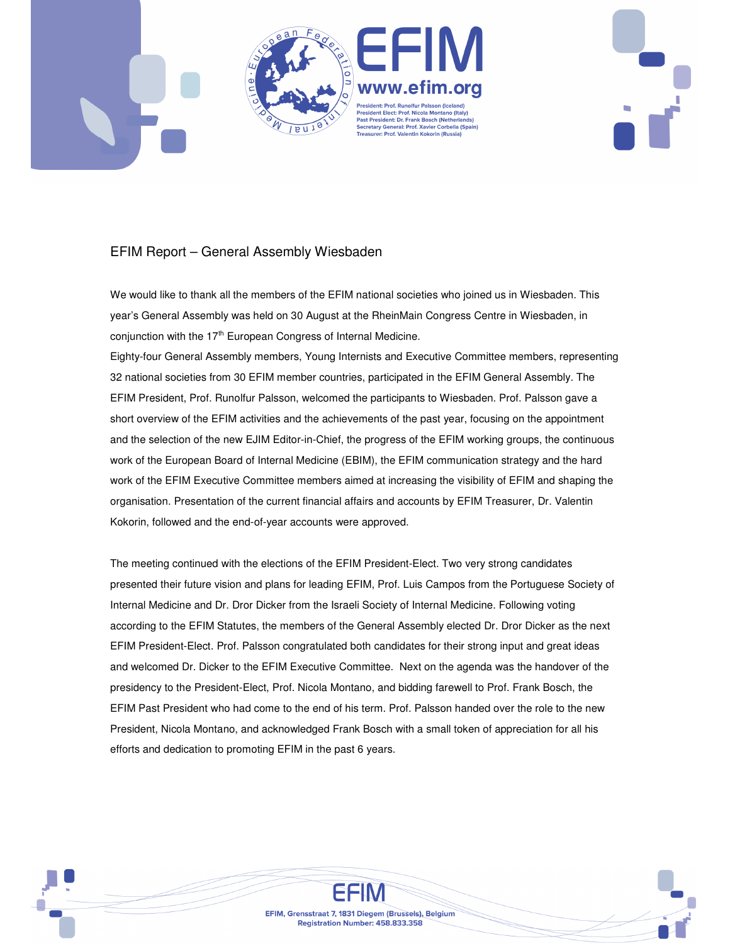

## EFIM Report – General Assembly Wiesbaden

We would like to thank all the members of the EFIM national societies who joined us in Wiesbaden. This year's General Assembly was held on 30 August at the RheinMain Congress Centre in Wiesbaden, in conjunction with the 17<sup>th</sup> European Congress of Internal Medicine.

Eighty-four General Assembly members, Young Internists and Executive Committee members, representing 32 national societies from 30 EFIM member countries, participated in the EFIM General Assembly. The EFIM President, Prof. Runolfur Palsson, welcomed the participants to Wiesbaden. Prof. Palsson gave a short overview of the EFIM activities and the achievements of the past year, focusing on the appointment and the selection of the new EJIM Editor-in-Chief, the progress of the EFIM working groups, the continuous work of the European Board of Internal Medicine (EBIM), the EFIM communication strategy and the hard work of the EFIM Executive Committee members aimed at increasing the visibility of EFIM and shaping the organisation. Presentation of the current financial affairs and accounts by EFIM Treasurer, Dr. Valentin Kokorin, followed and the end-of-year accounts were approved.

The meeting continued with the elections of the EFIM President-Elect. Two very strong candidates presented their future vision and plans for leading EFIM, Prof. Luis Campos from the Portuguese Society of Internal Medicine and Dr. Dror Dicker from the Israeli Society of Internal Medicine. Following voting according to the EFIM Statutes, the members of the General Assembly elected Dr. Dror Dicker as the next EFIM President-Elect. Prof. Palsson congratulated both candidates for their strong input and great ideas and welcomed Dr. Dicker to the EFIM Executive Committee. Next on the agenda was the handover of the presidency to the President-Elect, Prof. Nicola Montano, and bidding farewell to Prof. Frank Bosch, the EFIM Past President who had come to the end of his term. Prof. Palsson handed over the role to the new President, Nicola Montano, and acknowledged Frank Bosch with a small token of appreciation for all his efforts and dedication to promoting EFIM in the past 6 years.

> EFIM, Grensstraat 7, 1831 Diegem (Brussels), Belgium Registration Number: 458.833.358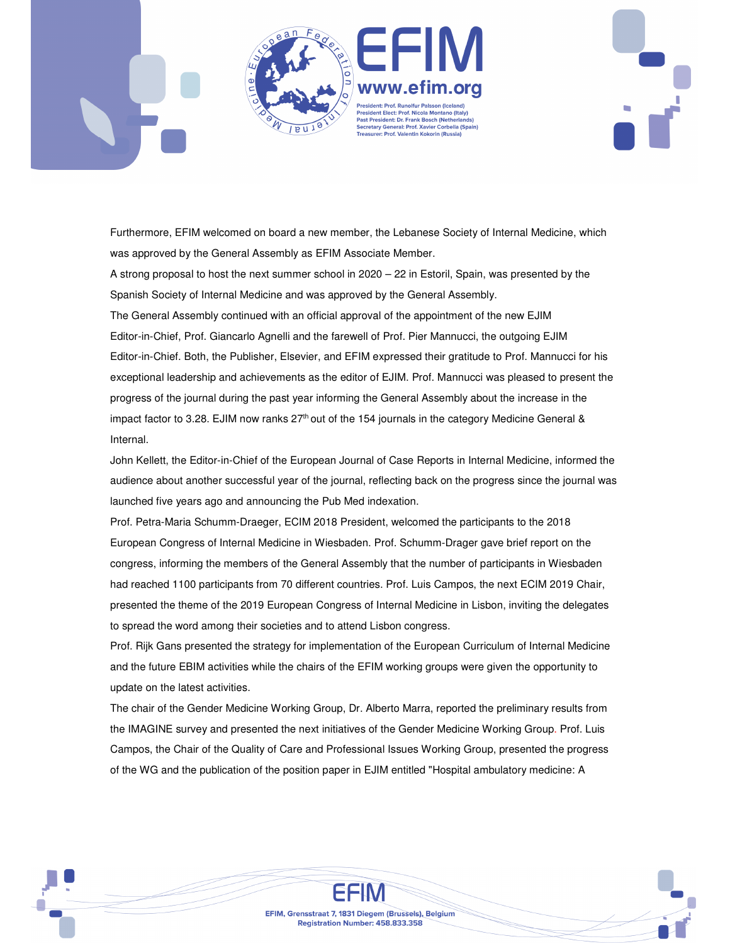



Furthermore, EFIM welcomed on board a new member, the Lebanese Society of Internal Medicine, which was approved by the General Assembly as EFIM Associate Member.

A strong proposal to host the next summer school in 2020 – 22 in Estoril, Spain, was presented by the Spanish Society of Internal Medicine and was approved by the General Assembly.

The General Assembly continued with an official approval of the appointment of the new EJIM Editor-in-Chief, Prof. Giancarlo Agnelli and the farewell of Prof. Pier Mannucci, the outgoing EJIM Editor-in-Chief. Both, the Publisher, Elsevier, and EFIM expressed their gratitude to Prof. Mannucci for his exceptional leadership and achievements as the editor of EJIM. Prof. Mannucci was pleased to present the progress of the journal during the past year informing the General Assembly about the increase in the impact factor to 3.28. EJIM now ranks  $27<sup>th</sup>$  out of the 154 journals in the category Medicine General & Internal.

John Kellett, the Editor-in-Chief of the European Journal of Case Reports in Internal Medicine, informed the audience about another successful year of the journal, reflecting back on the progress since the journal was launched five years ago and announcing the Pub Med indexation.

Prof. Petra-Maria Schumm-Draeger, ECIM 2018 President, welcomed the participants to the 2018 European Congress of Internal Medicine in Wiesbaden. Prof. Schumm-Drager gave brief report on the congress, informing the members of the General Assembly that the number of participants in Wiesbaden had reached 1100 participants from 70 different countries. Prof. Luis Campos, the next ECIM 2019 Chair, presented the theme of the 2019 European Congress of Internal Medicine in Lisbon, inviting the delegates to spread the word among their societies and to attend Lisbon congress.

Prof. Rijk Gans presented the strategy for implementation of the European Curriculum of Internal Medicine and the future EBIM activities while the chairs of the EFIM working groups were given the opportunity to update on the latest activities.

The chair of the Gender Medicine Working Group, Dr. Alberto Marra, reported the preliminary results from the IMAGINE survey and presented the next initiatives of the Gender Medicine Working Group. Prof. Luis Campos, the Chair of the Quality of Care and Professional Issues Working Group, presented the progress of the WG and the publication of the position paper in EJIM entitled "Hospital ambulatory medicine: A